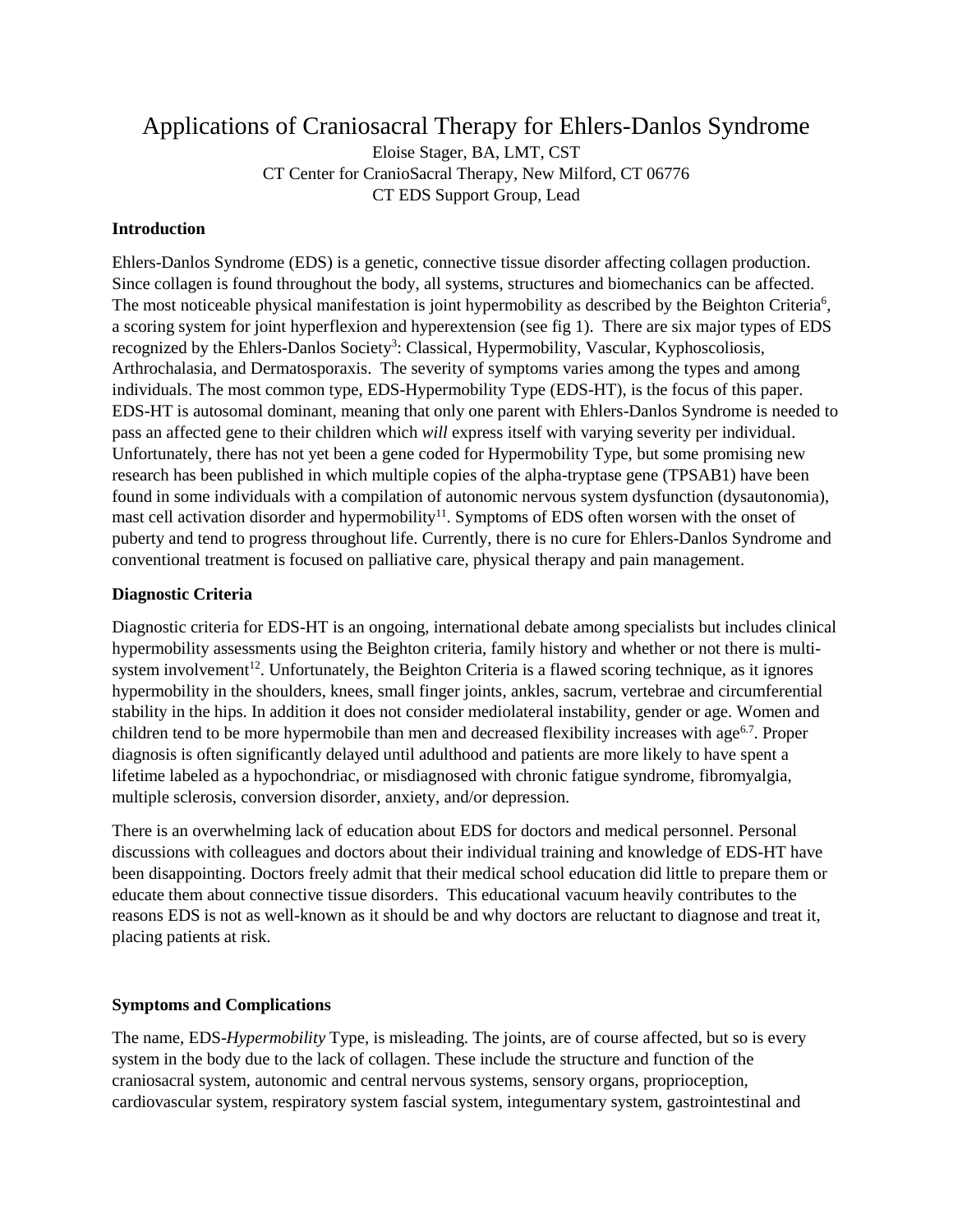# Applications of Craniosacral Therapy for Ehlers-Danlos Syndrome

Eloise Stager, BA, LMT, CST CT Center for CranioSacral Therapy, New Milford, CT 06776 CT EDS Support Group, Lead

### **Introduction**

Ehlers-Danlos Syndrome (EDS) is a genetic, connective tissue disorder affecting collagen production. Since collagen is found throughout the body, all systems, structures and biomechanics can be affected. The most noticeable physical manifestation is joint hypermobility as described by the Beighton Criteria<sup>6</sup>, a scoring system for joint hyperflexion and hyperextension (see fig 1). There are six major types of EDS recognized by the Ehlers-Danlos Society<sup>3</sup>: Classical, Hypermobility, Vascular, Kyphoscoliosis, Arthrochalasia, and Dermatosporaxis. The severity of symptoms varies among the types and among individuals. The most common type, EDS-Hypermobility Type (EDS-HT), is the focus of this paper. EDS-HT is autosomal dominant, meaning that only one parent with Ehlers-Danlos Syndrome is needed to pass an affected gene to their children which *will* express itself with varying severity per individual. Unfortunately, there has not yet been a gene coded for Hypermobility Type, but some promising new research has been published in which multiple copies of the alpha-tryptase gene (TPSAB1) have been found in some individuals with a compilation of autonomic nervous system dysfunction (dysautonomia), mast cell activation disorder and hypermobility<sup>11</sup>. Symptoms of EDS often worsen with the onset of puberty and tend to progress throughout life. Currently, there is no cure for Ehlers-Danlos Syndrome and conventional treatment is focused on palliative care, physical therapy and pain management.

# **Diagnostic Criteria**

Diagnostic criteria for EDS-HT is an ongoing, international debate among specialists but includes clinical hypermobility assessments using the Beighton criteria, family history and whether or not there is multisystem involvement<sup>12</sup>. Unfortunately, the Beighton Criteria is a flawed scoring technique, as it ignores hypermobility in the shoulders, knees, small finger joints, ankles, sacrum, vertebrae and circumferential stability in the hips. In addition it does not consider mediolateral instability, gender or age. Women and children tend to be more hypermobile than men and decreased flexibility increases with age<sup>6.7</sup>. Proper diagnosis is often significantly delayed until adulthood and patients are more likely to have spent a lifetime labeled as a hypochondriac, or misdiagnosed with chronic fatigue syndrome, fibromyalgia, multiple sclerosis, conversion disorder, anxiety, and/or depression.

There is an overwhelming lack of education about EDS for doctors and medical personnel. Personal discussions with colleagues and doctors about their individual training and knowledge of EDS-HT have been disappointing. Doctors freely admit that their medical school education did little to prepare them or educate them about connective tissue disorders. This educational vacuum heavily contributes to the reasons EDS is not as well-known as it should be and why doctors are reluctant to diagnose and treat it, placing patients at risk.

#### **Symptoms and Complications**

The name, EDS-*Hypermobility* Type, is misleading. The joints, are of course affected, but so is every system in the body due to the lack of collagen. These include the structure and function of the craniosacral system, autonomic and central nervous systems, sensory organs, proprioception, cardiovascular system, respiratory system fascial system, integumentary system, gastrointestinal and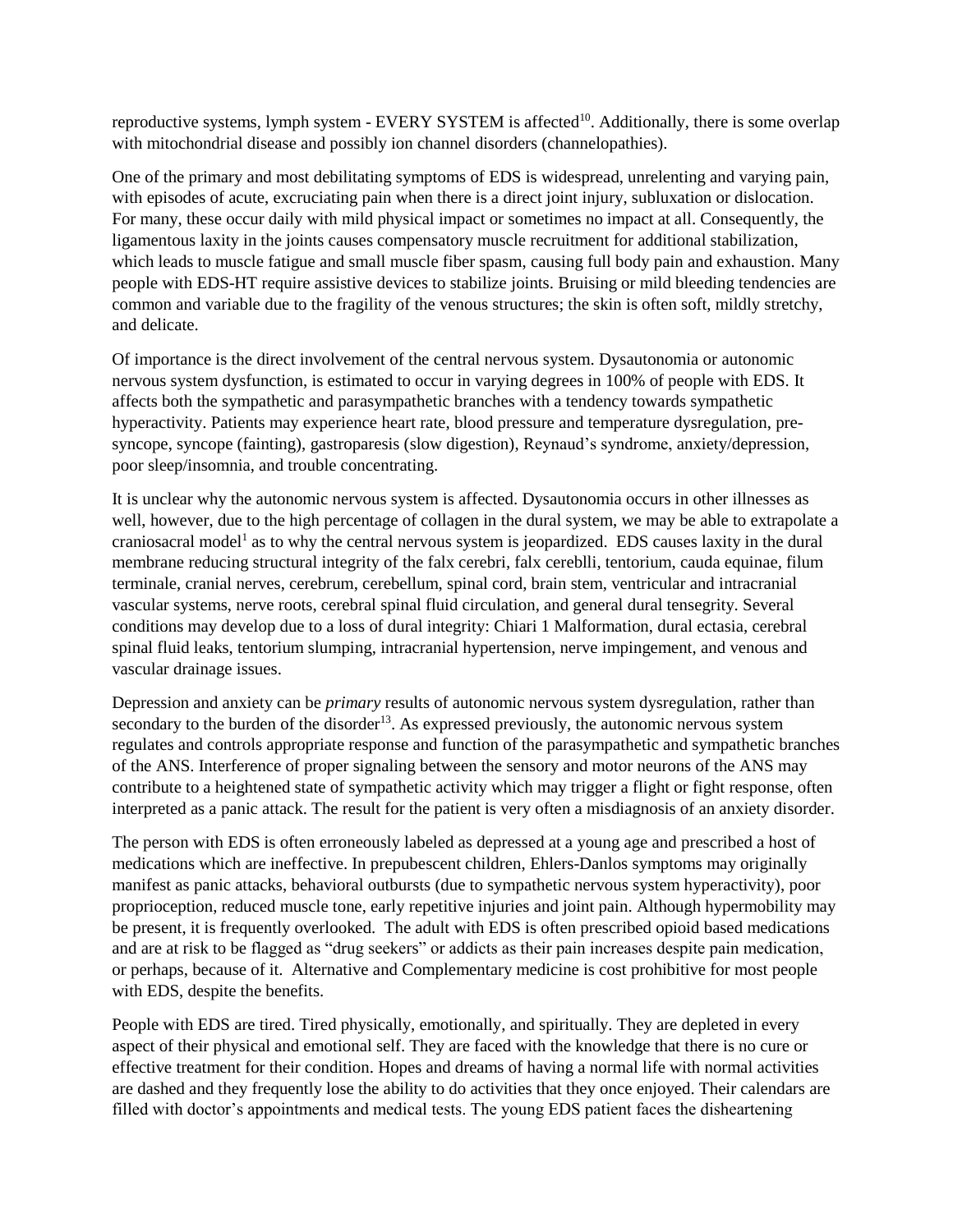reproductive systems, lymph system - EVERY SYSTEM is affected<sup>10</sup>. Additionally, there is some overlap with mitochondrial disease and possibly ion channel disorders (channelopathies).

One of the primary and most debilitating symptoms of EDS is widespread, unrelenting and varying pain, with episodes of acute, excruciating pain when there is a direct joint injury, subluxation or dislocation. For many, these occur daily with mild physical impact or sometimes no impact at all. Consequently, the ligamentous laxity in the joints causes compensatory muscle recruitment for additional stabilization, which leads to muscle fatigue and small muscle fiber spasm, causing full body pain and exhaustion. Many people with EDS-HT require assistive devices to stabilize joints. Bruising or mild bleeding tendencies are common and variable due to the fragility of the venous structures; the skin is often soft, mildly stretchy, and delicate.

Of importance is the direct involvement of the central nervous system. Dysautonomia or autonomic nervous system dysfunction, is estimated to occur in varying degrees in 100% of people with EDS. It affects both the sympathetic and parasympathetic branches with a tendency towards sympathetic hyperactivity. Patients may experience heart rate, blood pressure and temperature dysregulation, presyncope, syncope (fainting), gastroparesis (slow digestion), Reynaud's syndrome, anxiety/depression, poor sleep/insomnia, and trouble concentrating.

It is unclear why the autonomic nervous system is affected. Dysautonomia occurs in other illnesses as well, however, due to the high percentage of collagen in the dural system, we may be able to extrapolate a craniosacral model<sup>1</sup> as to why the central nervous system is jeopardized. EDS causes laxity in the dural membrane reducing structural integrity of the falx cerebri, falx cereblli, tentorium, cauda equinae, filum terminale, cranial nerves, cerebrum, cerebellum, spinal cord, brain stem, ventricular and intracranial vascular systems, nerve roots, cerebral spinal fluid circulation, and general dural tensegrity. Several conditions may develop due to a loss of dural integrity: Chiari 1 Malformation, dural ectasia, cerebral spinal fluid leaks, tentorium slumping, intracranial hypertension, nerve impingement, and venous and vascular drainage issues.

Depression and anxiety can be *primary* results of autonomic nervous system dysregulation, rather than secondary to the burden of the disorder<sup>13</sup>. As expressed previously, the autonomic nervous system regulates and controls appropriate response and function of the parasympathetic and sympathetic branches of the ANS. Interference of proper signaling between the sensory and motor neurons of the ANS may contribute to a heightened state of sympathetic activity which may trigger a flight or fight response, often interpreted as a panic attack. The result for the patient is very often a misdiagnosis of an anxiety disorder.

The person with EDS is often erroneously labeled as depressed at a young age and prescribed a host of medications which are ineffective. In prepubescent children, Ehlers-Danlos symptoms may originally manifest as panic attacks, behavioral outbursts (due to sympathetic nervous system hyperactivity), poor proprioception, reduced muscle tone, early repetitive injuries and joint pain. Although hypermobility may be present, it is frequently overlooked. The adult with EDS is often prescribed opioid based medications and are at risk to be flagged as "drug seekers" or addicts as their pain increases despite pain medication, or perhaps, because of it. Alternative and Complementary medicine is cost prohibitive for most people with EDS, despite the benefits.

People with EDS are tired. Tired physically, emotionally, and spiritually. They are depleted in every aspect of their physical and emotional self. They are faced with the knowledge that there is no cure or effective treatment for their condition. Hopes and dreams of having a normal life with normal activities are dashed and they frequently lose the ability to do activities that they once enjoyed. Their calendars are filled with doctor's appointments and medical tests. The young EDS patient faces the disheartening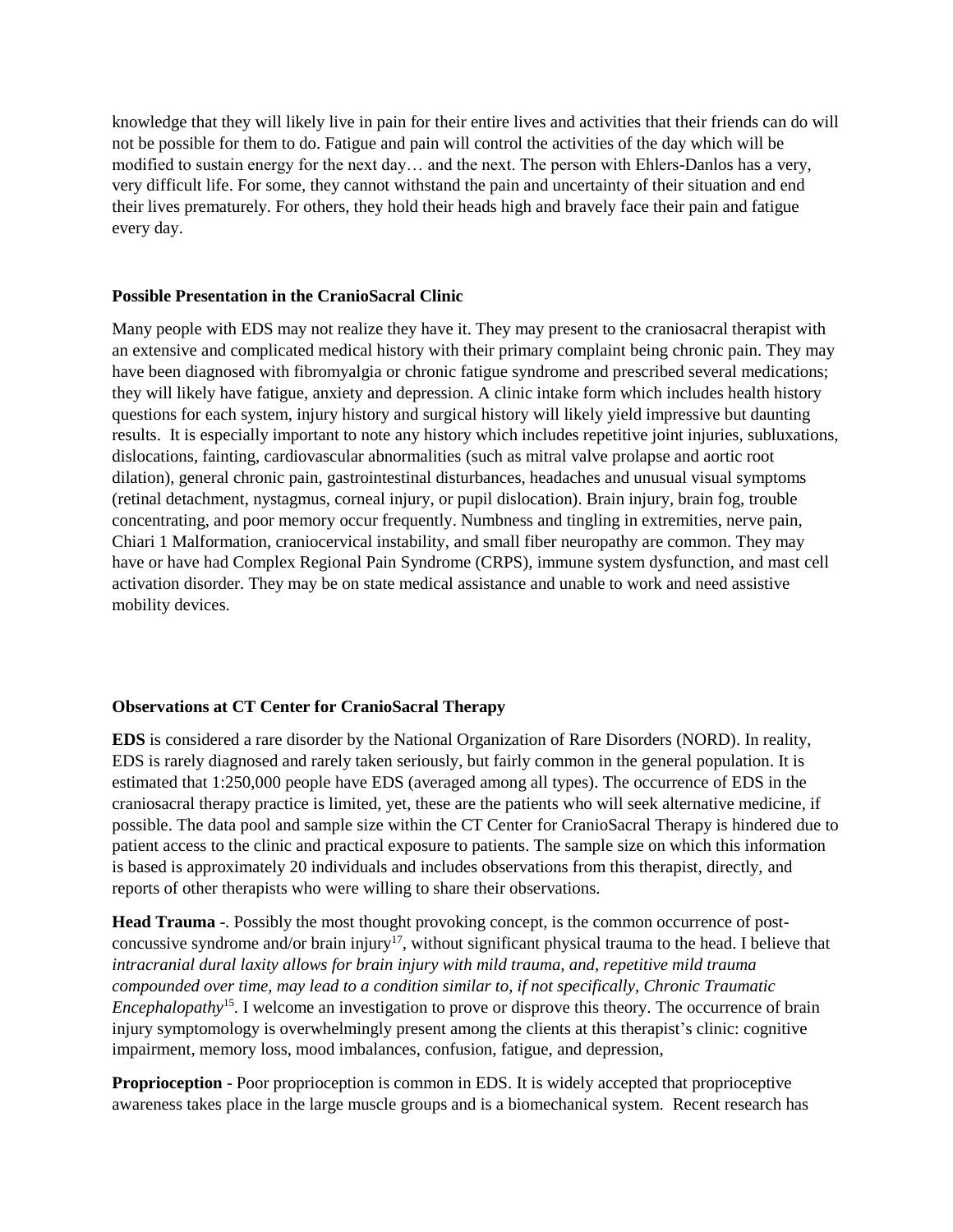knowledge that they will likely live in pain for their entire lives and activities that their friends can do will not be possible for them to do. Fatigue and pain will control the activities of the day which will be modified to sustain energy for the next day… and the next. The person with Ehlers-Danlos has a very, very difficult life. For some, they cannot withstand the pain and uncertainty of their situation and end their lives prematurely. For others, they hold their heads high and bravely face their pain and fatigue every day.

# **Possible Presentation in the CranioSacral Clinic**

Many people with EDS may not realize they have it. They may present to the craniosacral therapist with an extensive and complicated medical history with their primary complaint being chronic pain. They may have been diagnosed with fibromyalgia or chronic fatigue syndrome and prescribed several medications; they will likely have fatigue, anxiety and depression. A clinic intake form which includes health history questions for each system, injury history and surgical history will likely yield impressive but daunting results. It is especially important to note any history which includes repetitive joint injuries, subluxations, dislocations, fainting, cardiovascular abnormalities (such as mitral valve prolapse and aortic root dilation), general chronic pain, gastrointestinal disturbances, headaches and unusual visual symptoms (retinal detachment, nystagmus, corneal injury, or pupil dislocation). Brain injury, brain fog, trouble concentrating, and poor memory occur frequently. Numbness and tingling in extremities, nerve pain, Chiari 1 Malformation, craniocervical instability, and small fiber neuropathy are common. They may have or have had Complex Regional Pain Syndrome (CRPS), immune system dysfunction, and mast cell activation disorder. They may be on state medical assistance and unable to work and need assistive mobility devices.

# **Observations at CT Center for CranioSacral Therapy**

**EDS** is considered a rare disorder by the National Organization of Rare Disorders (NORD). In reality, EDS is rarely diagnosed and rarely taken seriously, but fairly common in the general population. It is estimated that 1:250,000 people have EDS (averaged among all types). The occurrence of EDS in the craniosacral therapy practice is limited, yet, these are the patients who will seek alternative medicine, if possible. The data pool and sample size within the CT Center for CranioSacral Therapy is hindered due to patient access to the clinic and practical exposure to patients. The sample size on which this information is based is approximately 20 individuals and includes observations from this therapist, directly, and reports of other therapists who were willing to share their observations.

**Head Trauma** -. Possibly the most thought provoking concept, is the common occurrence of postconcussive syndrome and/or brain injury<sup>17</sup>, without significant physical trauma to the head. I believe that *intracranial dural laxity allows for brain injury with mild trauma, and, repetitive mild trauma compounded over time, may lead to a condition similar to, if not specifically, Chronic Traumatic Encephalopathy*<sup>15</sup>. I welcome an investigation to prove or disprove this theory. The occurrence of brain injury symptomology is overwhelmingly present among the clients at this therapist's clinic: cognitive impairment, memory loss, mood imbalances, confusion, fatigue, and depression,

**Proprioception** - Poor proprioception is common in EDS. It is widely accepted that proprioceptive awareness takes place in the large muscle groups and is a biomechanical system. Recent research has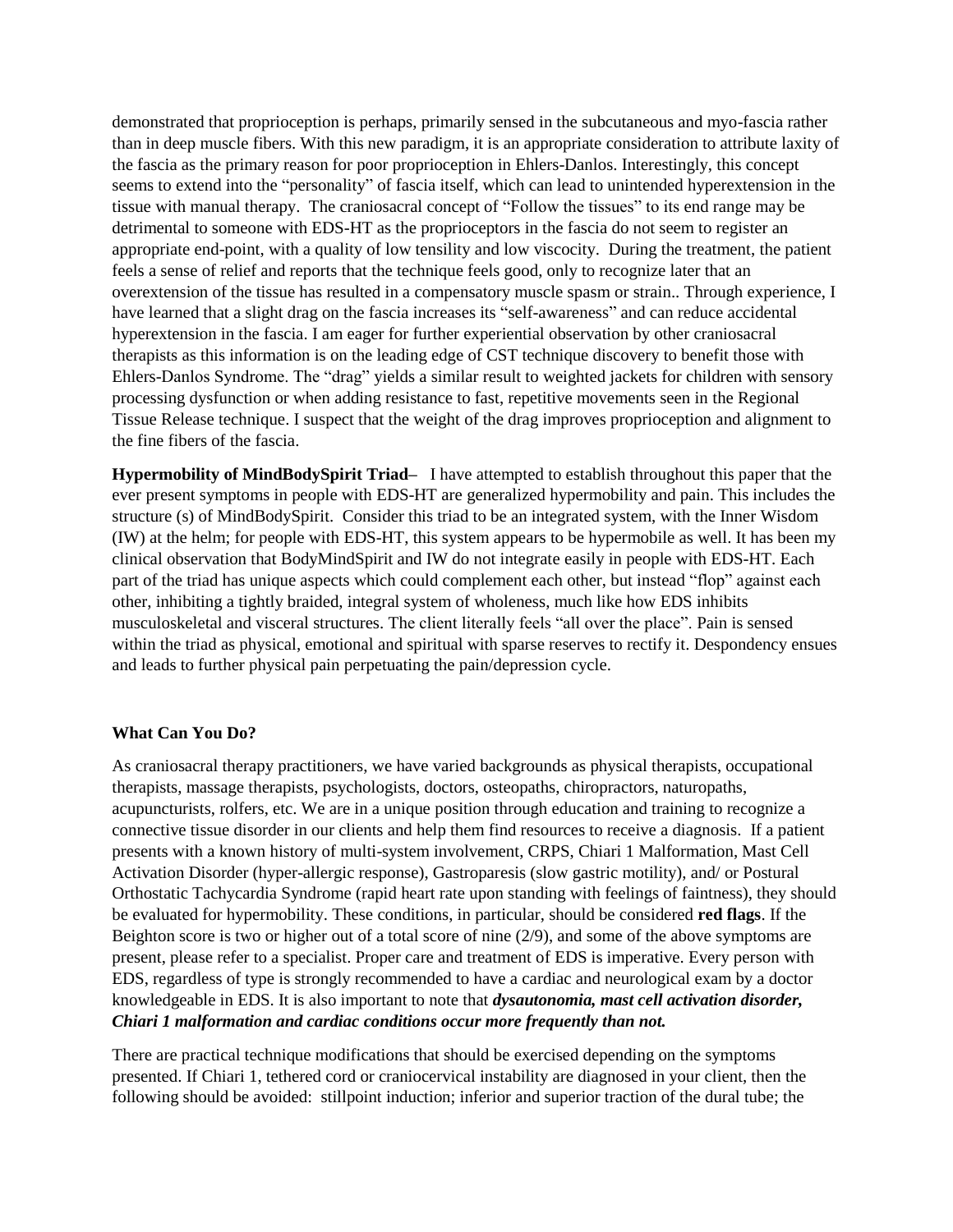demonstrated that proprioception is perhaps, primarily sensed in the subcutaneous and myo-fascia rather than in deep muscle fibers. With this new paradigm, it is an appropriate consideration to attribute laxity of the fascia as the primary reason for poor proprioception in Ehlers-Danlos. Interestingly, this concept seems to extend into the "personality" of fascia itself, which can lead to unintended hyperextension in the tissue with manual therapy. The craniosacral concept of "Follow the tissues" to its end range may be detrimental to someone with EDS-HT as the proprioceptors in the fascia do not seem to register an appropriate end-point, with a quality of low tensility and low viscocity. During the treatment, the patient feels a sense of relief and reports that the technique feels good, only to recognize later that an overextension of the tissue has resulted in a compensatory muscle spasm or strain.. Through experience, I have learned that a slight drag on the fascia increases its "self-awareness" and can reduce accidental hyperextension in the fascia. I am eager for further experiential observation by other craniosacral therapists as this information is on the leading edge of CST technique discovery to benefit those with Ehlers-Danlos Syndrome. The "drag" yields a similar result to weighted jackets for children with sensory processing dysfunction or when adding resistance to fast, repetitive movements seen in the Regional Tissue Release technique. I suspect that the weight of the drag improves proprioception and alignment to the fine fibers of the fascia.

**Hypermobility of MindBodySpirit Triad–** I have attempted to establish throughout this paper that the ever present symptoms in people with EDS-HT are generalized hypermobility and pain. This includes the structure (s) of MindBodySpirit. Consider this triad to be an integrated system, with the Inner Wisdom (IW) at the helm; for people with EDS-HT, this system appears to be hypermobile as well. It has been my clinical observation that BodyMindSpirit and IW do not integrate easily in people with EDS-HT. Each part of the triad has unique aspects which could complement each other, but instead "flop" against each other, inhibiting a tightly braided, integral system of wholeness, much like how EDS inhibits musculoskeletal and visceral structures. The client literally feels "all over the place". Pain is sensed within the triad as physical, emotional and spiritual with sparse reserves to rectify it. Despondency ensues and leads to further physical pain perpetuating the pain/depression cycle.

# **What Can You Do?**

As craniosacral therapy practitioners, we have varied backgrounds as physical therapists, occupational therapists, massage therapists, psychologists, doctors, osteopaths, chiropractors, naturopaths, acupuncturists, rolfers, etc. We are in a unique position through education and training to recognize a connective tissue disorder in our clients and help them find resources to receive a diagnosis. If a patient presents with a known history of multi-system involvement, CRPS, Chiari 1 Malformation, Mast Cell Activation Disorder (hyper-allergic response), Gastroparesis (slow gastric motility), and/ or Postural Orthostatic Tachycardia Syndrome (rapid heart rate upon standing with feelings of faintness), they should be evaluated for hypermobility. These conditions, in particular, should be considered **red flags**. If the Beighton score is two or higher out of a total score of nine (2/9), and some of the above symptoms are present, please refer to a specialist. Proper care and treatment of EDS is imperative. Every person with EDS, regardless of type is strongly recommended to have a cardiac and neurological exam by a doctor knowledgeable in EDS. It is also important to note that *dysautonomia, mast cell activation disorder, Chiari 1 malformation and cardiac conditions occur more frequently than not.*

There are practical technique modifications that should be exercised depending on the symptoms presented. If Chiari 1, tethered cord or craniocervical instability are diagnosed in your client, then the following should be avoided: stillpoint induction; inferior and superior traction of the dural tube; the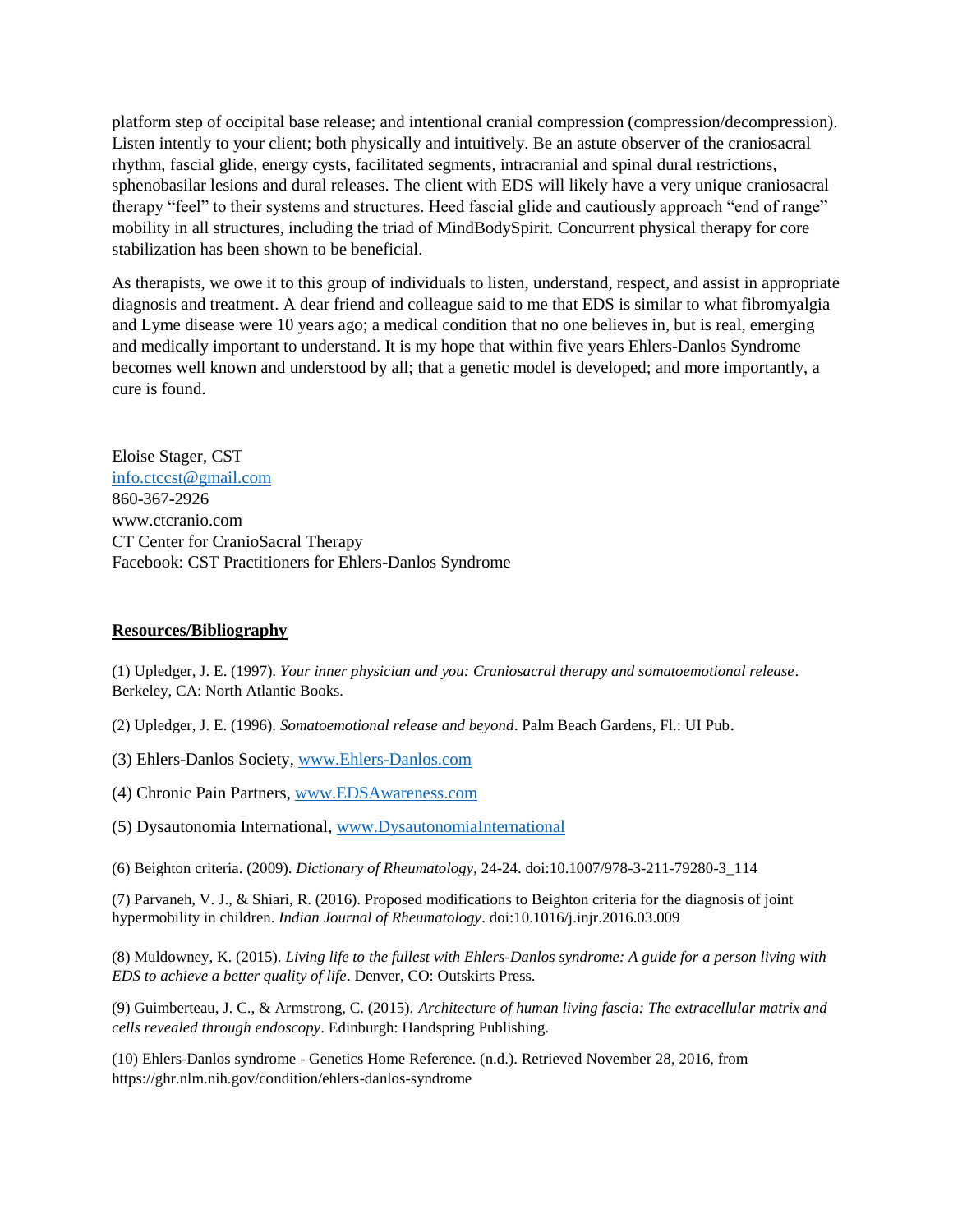platform step of occipital base release; and intentional cranial compression (compression/decompression). Listen intently to your client; both physically and intuitively. Be an astute observer of the craniosacral rhythm, fascial glide, energy cysts, facilitated segments, intracranial and spinal dural restrictions, sphenobasilar lesions and dural releases. The client with EDS will likely have a very unique craniosacral therapy "feel" to their systems and structures. Heed fascial glide and cautiously approach "end of range" mobility in all structures, including the triad of MindBodySpirit. Concurrent physical therapy for core stabilization has been shown to be beneficial.

As therapists, we owe it to this group of individuals to listen, understand, respect, and assist in appropriate diagnosis and treatment. A dear friend and colleague said to me that EDS is similar to what fibromyalgia and Lyme disease were 10 years ago; a medical condition that no one believes in, but is real, emerging and medically important to understand. It is my hope that within five years Ehlers-Danlos Syndrome becomes well known and understood by all; that a genetic model is developed; and more importantly, a cure is found.

Eloise Stager, CST [info.ctccst@gmail.com](mailto:info.ctccst@gmail.com) 860-367-2926 www.ctcranio.com CT Center for CranioSacral Therapy Facebook: CST Practitioners for Ehlers-Danlos Syndrome

# **Resources/Bibliography**

(1) Upledger, J. E. (1997). *Your inner physician and you: Craniosacral therapy and somatoemotional release*. Berkeley, CA: North Atlantic Books.

(2) Upledger, J. E. (1996). *Somatoemotional release and beyond*. Palm Beach Gardens, Fl.: UI Pub.

- (3) Ehlers-Danlos Society, [www.Ehlers-Danlos.com](http://www.ehlers-danlos.com/)
- (4) Chronic Pain Partners, [www.EDSAwareness.com](http://www.edsawareness.com/)
- (5) Dysautonomia International, [www.DysautonomiaInternational](http://www.dysautonomiainternational/)

(6) Beighton criteria. (2009). *Dictionary of Rheumatology,* 24-24. doi:10.1007/978-3-211-79280-3\_114

(7) Parvaneh, V. J., & Shiari, R. (2016). Proposed modifications to Beighton criteria for the diagnosis of joint hypermobility in children. *Indian Journal of Rheumatology*. doi:10.1016/j.injr.2016.03.009

(8) Muldowney, K. (2015). *Living life to the fullest with Ehlers-Danlos syndrome: A guide for a person living with EDS to achieve a better quality of life*. Denver, CO: Outskirts Press.

(9) Guimberteau, J. C., & Armstrong, C. (2015). *Architecture of human living fascia: The extracellular matrix and cells revealed through endoscopy*. Edinburgh: Handspring Publishing.

(10) Ehlers-Danlos syndrome - Genetics Home Reference. (n.d.). Retrieved November 28, 2016, from https://ghr.nlm.nih.gov/condition/ehlers-danlos-syndrome